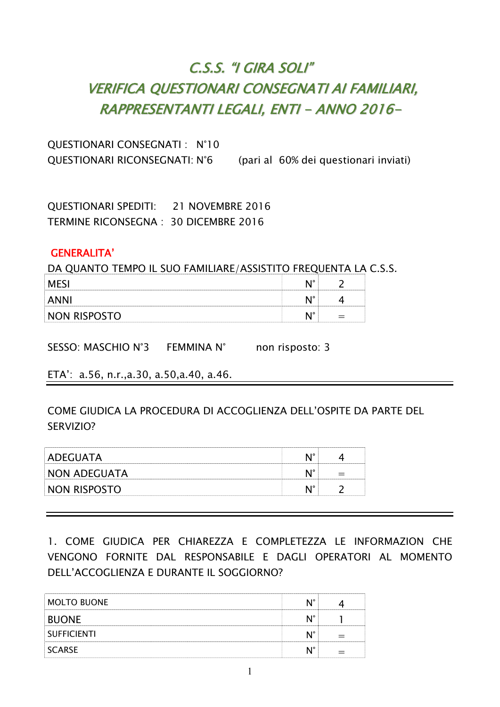# C.S.S. "I GIRA SOLI" VERIFICA QUESTIONARI CONSEGNATI AI FAMILIARI, RAPPRESENTANTI LEGALI, ENTI - ANNO 2016-

QUESTIONARI CONSEGNATI : N°10 QUESTIONARI RICONSEGNATI: N°6 (pari al 60% dei questionari inviati)

QUESTIONARI SPEDITI: 21 NOVEMBRE 2016 TERMINE RICONSEGNA : 30 DICEMBRE 2016

#### GENERALITA'

DA QUANTO TEMPO IL SUO FAMILIARE/ASSISTITO FREQUENTA LA C.S.S.

|              | . IO |  |
|--------------|------|--|
|              | ٠ю   |  |
| NON RISPOSTO | ៶៲៰  |  |

SESSO: MASCHIO N°3 FEMMINA N° non risposto: 3

ETA': a.56, n.r.,a.30, a.50,a.40, a.46.

COME GIUDICA LA PROCEDURA DI ACCOGLIENZA DELL'OSPITE DA PARTE DEL SERVIZIO?

| ADEGUATA            |  |
|---------------------|--|
| <b>NON ADEGUATA</b> |  |
| NON RISPOSTO        |  |

1. COME GIUDICA PER CHIAREZZA E COMPLETEZZA LE INFORMAZION CHE VENGONO FORNITE DAL RESPONSABILE E DAGLI OPERATORI AL MOMENTO DELL'ACCOGLIENZA E DURANTE IL SOGGIORNO?

| <b>MOLTO BUONE</b> |  |
|--------------------|--|
| <b>BUONE</b>       |  |
| <b>SUFFICIENTI</b> |  |
| SCARSE             |  |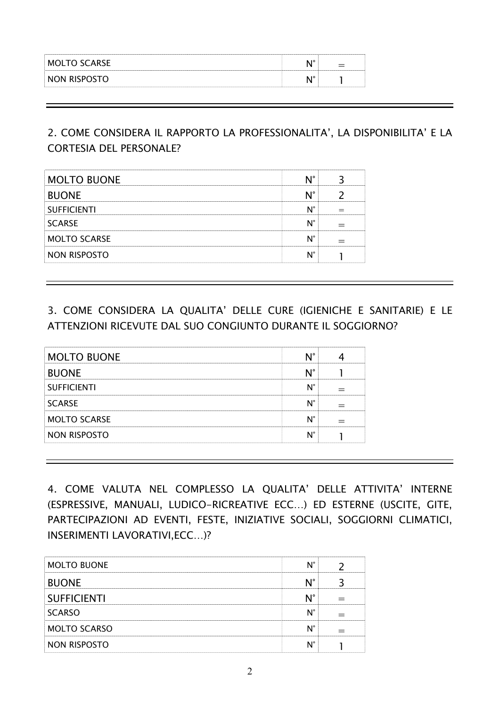| MOLTO SCARSE<br>ັ | $\overline{10}$ |  |
|-------------------|-----------------|--|
| NON RISPOST<br>   | $\overline{10}$ |  |

### 2. COME CONSIDERA IL RAPPORTO LA PROFESSIONALITA', LA DISPONIBILITA' E LA CORTESIA DEL PERSONALE?

| <b>MOLTO BUONE</b>  |  |
|---------------------|--|
| <b>BUONE</b>        |  |
| <b>SUFFICIENTI</b>  |  |
| <b>SCARSE</b>       |  |
| <b>MOLTO SCARSE</b> |  |
| NON RISPOSTO        |  |

## 3. COME CONSIDERA LA QUALITA' DELLE CURE (IGIENICHE E SANITARIE) E LE ATTENZIONI RICEVUTE DAL SUO CONGIUNTO DURANTE IL SOGGIORNO?

| <b>MOLTO BUONE</b>  |  |
|---------------------|--|
| <b>BUONE</b>        |  |
| <b>SUFFICIENTI</b>  |  |
| <b>SCARSE</b>       |  |
| <b>MOLTO SCARSE</b> |  |
| NON RISPOSTO        |  |
|                     |  |

4. COME VALUTA NEL COMPLESSO LA QUALITA' DELLE ATTIVITA' INTERNE (ESPRESSIVE, MANUALI, LUDICO-RICREATIVE ECC…) ED ESTERNE (USCITE, GITE, PARTECIPAZIONI AD EVENTI, FESTE, INIZIATIVE SOCIALI, SOGGIORNI CLIMATICI, INSERIMENTI LAVORATIVI,ECC…)?

| <b>MOLTO BUONE</b>  |  |
|---------------------|--|
| <b>BUONE</b>        |  |
| <b>SUFFICIENTI</b>  |  |
| <b>SCARSO</b>       |  |
| <b>MOLTO SCARSO</b> |  |
| NON RISPOSTO        |  |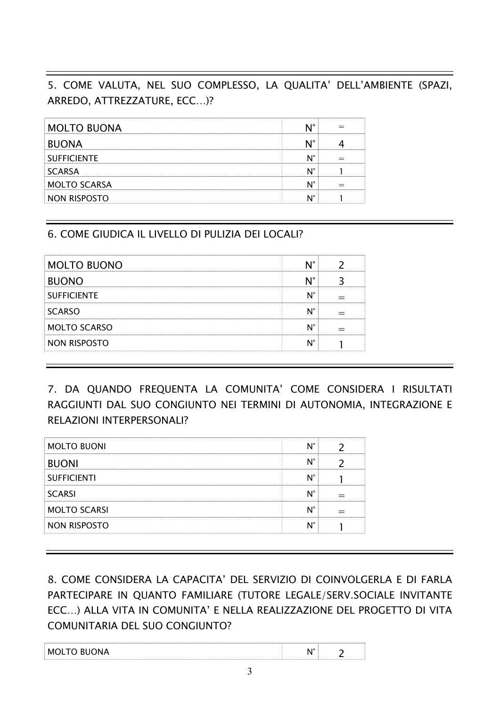## 5. COME VALUTA, NEL SUO COMPLESSO, LA QUALITA' DELL'AMBIENTE (SPAZI, ARREDO, ATTREZZATURE, ECC…)?

| <b>MOLTO BUONA</b>  |  |
|---------------------|--|
| <b>BUONA</b>        |  |
| <b>SUFFICIENTE</b>  |  |
| <b>SCARSA</b>       |  |
| <b>MOLTO SCARSA</b> |  |
| N RISPOSTO          |  |

#### 6. COME GIUDICA IL LIVELLO DI PULIZIA DEI LOCALI?

| <b>MOLTO BUONO</b>  |  |
|---------------------|--|
| <b>BUONO</b>        |  |
| <b>SUFFICIENTE</b>  |  |
| <b>SCARSO</b>       |  |
| <b>MOLTO SCARSO</b> |  |
| NON RISPOSTO        |  |

7. DA QUANDO FREQUENTA LA COMUNITA' COME CONSIDERA I RISULTATI RAGGIUNTI DAL SUO CONGIUNTO NEI TERMINI DI AUTONOMIA, INTEGRAZIONE E RELAZIONI INTERPERSONALI?

| <b>MOLTO BUONI</b>  |  |
|---------------------|--|
| <b>BUONI</b>        |  |
| <b>SUFFICIENTI</b>  |  |
| <b>SCARSI</b>       |  |
| <b>MOLTO SCARSI</b> |  |
| <b>NON RISPOSTO</b> |  |
|                     |  |

8. COME CONSIDERA LA CAPACITA' DEL SERVIZIO DI COINVOLGERLA E DI FARLA PARTECIPARE IN QUANTO FAMILIARE (TUTORE LEGALE/SERV.SOCIALE INVITANTE ECC…) ALLA VITA IN COMUNITA' E NELLA REALIZZAZIONE DEL PROGETTO DI VITA COMUNITARIA DEL SUO CONGIUNTO?

| $T^{\wedge}$ DI<br>M <sup>c</sup><br>M | $\sim$ |  |
|----------------------------------------|--------|--|